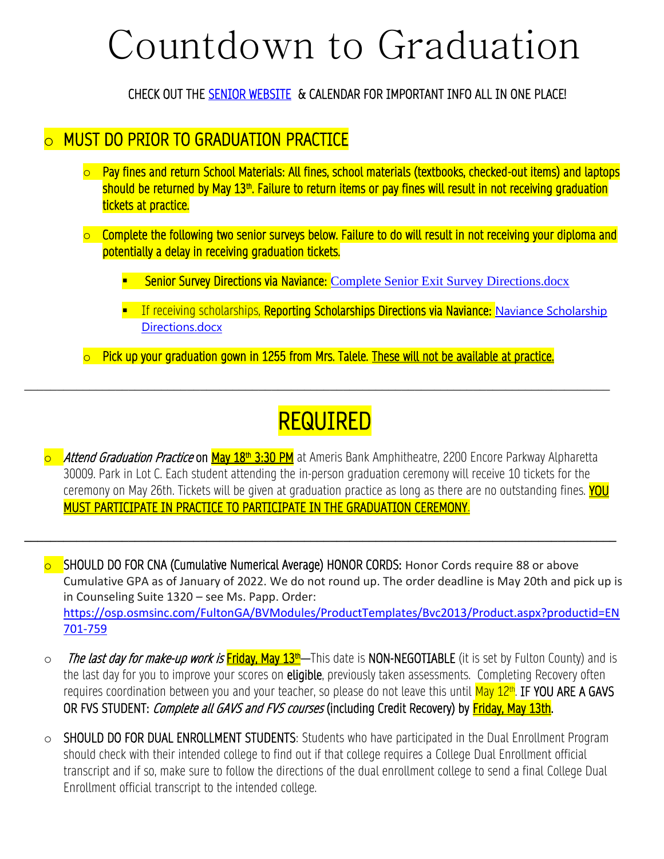## Countdown to Graduation

CHECK OUT THE [SENIOR WEBSITE](https://www.fultonschools.org/domain/7893#calendar60663/20210402/month) & CALENDAR FOR IMPORTANT INFO ALL IN ONE PLACE!

## o MUST DO PRIOR TO GRADUATION PRACTICE

- o Pay fines and return School Materials: All fines, school materials (textbooks, checked-out items) and laptops should be returned by May 13<sup>th</sup>. Failure to return items or pay fines will result in not receiving graduation tickets at practice.
- $\circ$  Complete the following two senior surveys below. Failure to do will result in not receiving your diploma and potentially a delay in receiving graduation tickets.
	- **Senior Survey Directions via Naviance: [Complete Senior Exit Survey Directions.docx](https://fultonk12-my.sharepoint.com/:w:/r/personal/taylorb_fultonschools_org/Documents/AHS%20Counseling%2021-22/Complete%20Senior%20Exit%20Survey%20Directions.docx?d=wb26c22532f644094849ced533c7713d4&csf=1&web=1&e=WOabLo)**
	- **E** If receiving scholarships, Reporting Scholarships Directions via Naviance: Naviance Scholarship [Directions.docx](https://fultonk12-my.sharepoint.com/:w:/g/personal/taylorb_fultonschools_org/EdX8tt5AgyVEibbxpn5XDF4Bt3SOKfNdXqTvjV6v59zujQ?e=VRX6tf&xsdata=MDV8MDF8fDM0ODE4NDBjZWNjYTRjMTY2ZDkyMDhkYTJhMTQ2NmUxfDBjZGNiMTk4ODE2OTRiNzBiYTlmZGE3ZTNiYTcwMGMyfDB8MHw2Mzc4Njg1NjQzNDAxMDg2OTB8R29vZHxWR1ZoYlhOVFpXTjFjbWwwZVZObGNuWnBZMlY4ZXlKV0lqb2lNQzR3TGpBd01EQWlMQ0pRSWpvaVYybHVNeklpTENKQlRpSTZJazkwYUdWeUlpd2lWMVFpT2pFeGZRPT18MXxNVGs2WkdVME9UY3pNV1ZqTlRBNU5ERTRabUV5T0Rjek5URmtOR0pqTWpabFlqSkFkR2h5WldGa0xuTnJlWEJsfHw%3D&sdata=ajdpWGhuY0ZieHZlVXRLOFowdDUxdXdTZkpXcW1JTjZQNmE1N0x3RWpIND0%3D&ovuser=0cdcb198-8169-4b70-ba9f-da7e3ba700c2%2Ctalelek%40fultonschools.org)
- $\circ$  Pick up your graduation gown in 1255 from Mrs. Talele. These will not be available at practice.

\_\_\_\_\_\_\_\_\_\_\_\_\_\_\_\_\_\_\_\_\_\_\_\_\_\_\_\_\_\_\_\_\_\_\_\_\_\_\_\_\_\_\_\_\_\_\_\_\_\_\_\_\_\_\_\_\_\_\_\_\_\_\_\_\_\_\_\_\_\_\_\_\_\_\_\_\_\_\_\_\_\_\_\_\_\_\_\_\_\_

## REQUIRED

<mark> $\circ$  *Attend Graduation Practice* on <mark>May 18<sup>th</sup> 3:30 PM</mark> at Ameris Bank Amphitheatre, 2200 Encore Parkway Alpharetta</mark> 30009. Park in Lot C. Each student attending the in-person graduation ceremony will receive 10 tickets for the ceremony on May 26th. Tickets will be given at graduation practice as long as there are no outstanding fines. YOU MUST PARTICIPATE IN PRACTICE TO PARTICIPATE IN THE GRADUATION CEREMONY.

**\_\_\_\_\_\_\_\_\_\_\_\_\_\_\_\_\_\_\_\_\_\_\_\_\_\_\_\_\_\_\_\_\_\_\_\_\_\_\_\_\_\_\_\_\_\_\_\_\_\_\_\_\_\_\_\_\_\_\_\_\_\_\_\_\_\_\_\_\_\_\_\_\_\_\_\_\_\_\_\_\_\_\_\_\_\_\_\_\_\_\_**

**o** SHOULD DO FOR CNA (Cumulative Numerical Average) HONOR CORDS: Honor Cords require 88 or above Cumulative GPA as of January of 2022. We do not round up. The order deadline is May 20th and pick up is in Counseling Suite 1320 – see Ms. Papp. Order: [https://osp.osmsinc.com/FultonGA/BVModules/ProductTemplates/Bvc2013/Product.aspx?productid=EN](https://nam11.safelinks.protection.outlook.com/?url=https%3A%2F%2Fosp.osmsinc.com%2FFultonGA%2FBVModules%2FProductTemplates%2FBvc2013%2FProduct.aspx%3Fproductid%3DEN701-759&data=05%7C01%7Cwrightd2%40fultonschools.org%7C6b6b20b9ed064866713a08da31eb745d%7C0cdcb19881694b70ba9fda7e3ba700c2%7C1%7C0%7C637877184595550871%7CUnknown%7CTWFpbGZsb3d8eyJWIjoiMC4wLjAwMDAiLCJQIjoiV2luMzIiLCJBTiI6Ik1haWwiLCJXVCI6Mn0%3D%7C3000%7C%7C%7C&sdata=aBhNxbz9umCndhUtaYrqpKFTo4ffgLCIteqnyCt%2FTdY%3D&reserved=0) [701-759](https://nam11.safelinks.protection.outlook.com/?url=https%3A%2F%2Fosp.osmsinc.com%2FFultonGA%2FBVModules%2FProductTemplates%2FBvc2013%2FProduct.aspx%3Fproductid%3DEN701-759&data=05%7C01%7Cwrightd2%40fultonschools.org%7C6b6b20b9ed064866713a08da31eb745d%7C0cdcb19881694b70ba9fda7e3ba700c2%7C1%7C0%7C637877184595550871%7CUnknown%7CTWFpbGZsb3d8eyJWIjoiMC4wLjAwMDAiLCJQIjoiV2luMzIiLCJBTiI6Ik1haWwiLCJXVCI6Mn0%3D%7C3000%7C%7C%7C&sdata=aBhNxbz9umCndhUtaYrqpKFTo4ffgLCIteqnyCt%2FTdY%3D&reserved=0)

- $\circ$  The last day for make-up work is Friday, May 13<sup>th</sup>—This date is NON-NEGOTIABLE (it is set by Fulton County) and is the last day for you to improve your scores on **eligible**, previously taken assessments. Completing Recovery often requires coordination between you and your teacher, so please do not leave this until <mark>May 12<sup>th</sup>. IF YOU ARE A GAVS</mark> OR FVS STUDENT: *Complete all GAVS and FVS courses* (including Credit Recovery) by **Friday, May 13th**.
- o SHOULD DO FOR DUAL ENROLLMENT STUDENTS: Students who have participated in the Dual Enrollment Program should check with their intended college to find out if that college requires a College Dual Enrollment official transcript and if so, make sure to follow the directions of the dual enrollment college to send a final College Dual Enrollment official transcript to the intended college.